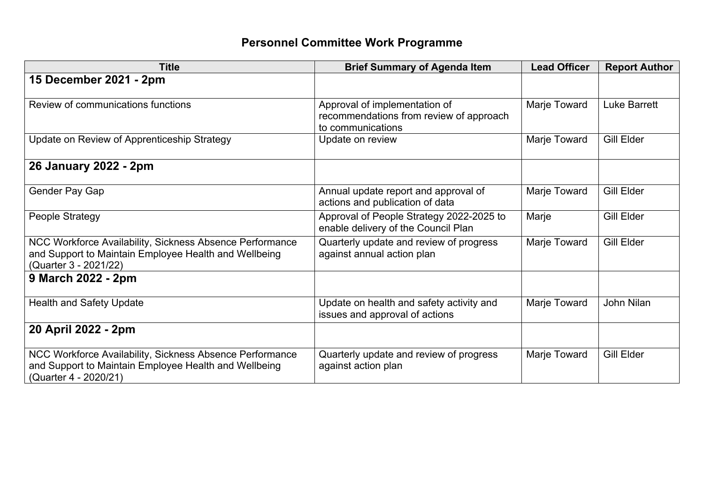## **Personnel Committee Work Programme**

| <b>Title</b>                                                                                                                               | <b>Brief Summary of Agenda Item</b>                                                           | <b>Lead Officer</b> | <b>Report Author</b> |
|--------------------------------------------------------------------------------------------------------------------------------------------|-----------------------------------------------------------------------------------------------|---------------------|----------------------|
| 15 December 2021 - 2pm                                                                                                                     |                                                                                               |                     |                      |
| Review of communications functions                                                                                                         | Approval of implementation of<br>recommendations from review of approach<br>to communications | Marje Toward        | <b>Luke Barrett</b>  |
| Update on Review of Apprenticeship Strategy                                                                                                | Update on review                                                                              | Marje Toward        | <b>Gill Elder</b>    |
| 26 January 2022 - 2pm                                                                                                                      |                                                                                               |                     |                      |
| Gender Pay Gap                                                                                                                             | Annual update report and approval of<br>actions and publication of data                       | Marje Toward        | Gill Elder           |
| People Strategy                                                                                                                            | Approval of People Strategy 2022-2025 to<br>enable delivery of the Council Plan               | Marje               | Gill Elder           |
| NCC Workforce Availability, Sickness Absence Performance<br>and Support to Maintain Employee Health and Wellbeing<br>(Quarter 3 - 2021/22) | Quarterly update and review of progress<br>against annual action plan                         | Marje Toward        | Gill Elder           |
| 9 March 2022 - 2pm                                                                                                                         |                                                                                               |                     |                      |
| <b>Health and Safety Update</b>                                                                                                            | Update on health and safety activity and<br>issues and approval of actions                    | Marje Toward        | John Nilan           |
| 20 April 2022 - 2pm                                                                                                                        |                                                                                               |                     |                      |
| NCC Workforce Availability, Sickness Absence Performance<br>and Support to Maintain Employee Health and Wellbeing<br>(Quarter 4 - 2020/21) | Quarterly update and review of progress<br>against action plan                                | Marje Toward        | <b>Gill Elder</b>    |